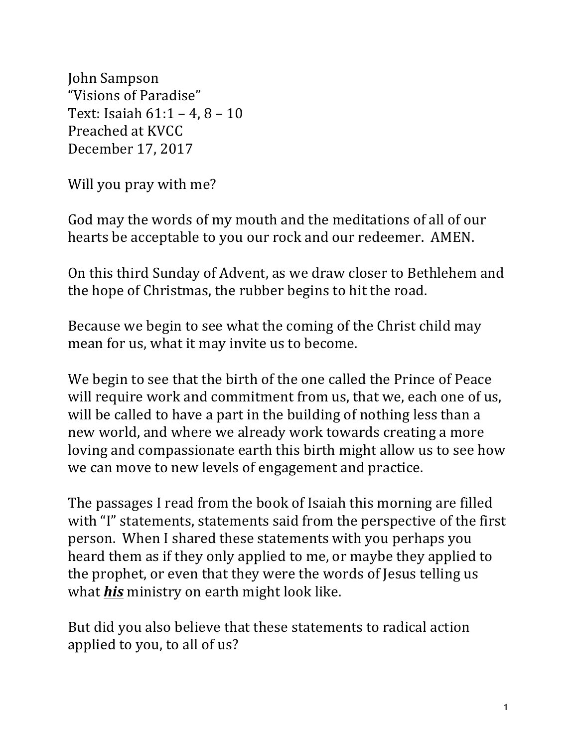John Sampson "Visions of Paradise" Text: Isaiah  $61:1 - 4$ ,  $8 - 10$ Preached at KVCC December 17, 2017

Will you pray with me?

God may the words of my mouth and the meditations of all of our hearts be acceptable to you our rock and our redeemer. AMEN.

On this third Sunday of Advent, as we draw closer to Bethlehem and the hope of Christmas, the rubber begins to hit the road.

Because we begin to see what the coming of the Christ child may mean for us, what it may invite us to become.

We begin to see that the birth of the one called the Prince of Peace will require work and commitment from us, that we, each one of us, will be called to have a part in the building of nothing less than a new world, and where we already work towards creating a more loving and compassionate earth this birth might allow us to see how we can move to new levels of engagement and practice.

The passages I read from the book of Isaiah this morning are filled with "I" statements, statements said from the perspective of the first person. When I shared these statements with you perhaps you heard them as if they only applied to me, or maybe they applied to the prophet, or even that they were the words of Jesus telling us what *his* ministry on earth might look like.

But did you also believe that these statements to radical action applied to you, to all of us?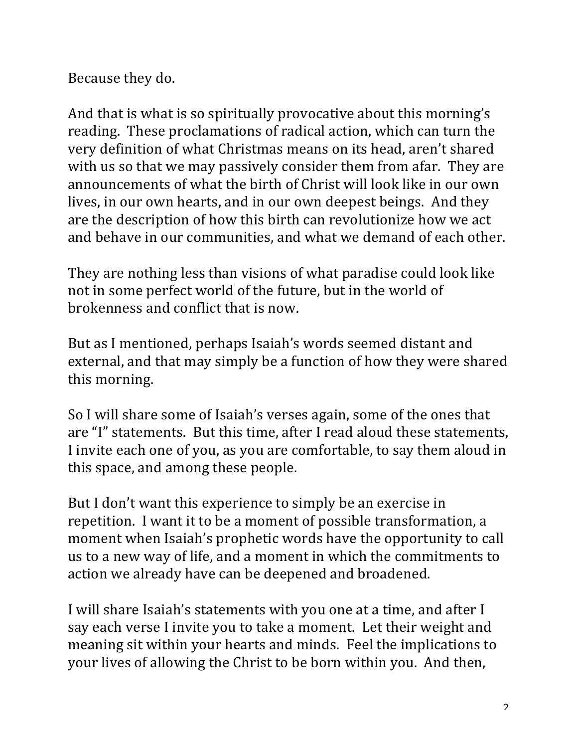Because they do.

And that is what is so spiritually provocative about this morning's reading. These proclamations of radical action, which can turn the very definition of what Christmas means on its head, aren't shared with us so that we may passively consider them from afar. They are announcements of what the birth of Christ will look like in our own lives, in our own hearts, and in our own deepest beings. And they are the description of how this birth can revolutionize how we act and behave in our communities, and what we demand of each other.

They are nothing less than visions of what paradise could look like not in some perfect world of the future, but in the world of brokenness and conflict that is now.

But as I mentioned, perhaps Isaiah's words seemed distant and external, and that may simply be a function of how they were shared this morning.

So I will share some of Isaiah's verses again, some of the ones that are "I" statements. But this time, after I read aloud these statements, I invite each one of you, as you are comfortable, to say them aloud in this space, and among these people.

But I don't want this experience to simply be an exercise in repetition. I want it to be a moment of possible transformation, a moment when Isaiah's prophetic words have the opportunity to call us to a new way of life, and a moment in which the commitments to action we already have can be deepened and broadened.

I will share Isaiah's statements with you one at a time, and after I say each verse I invite you to take a moment. Let their weight and meaning sit within your hearts and minds. Feel the implications to your lives of allowing the Christ to be born within you. And then,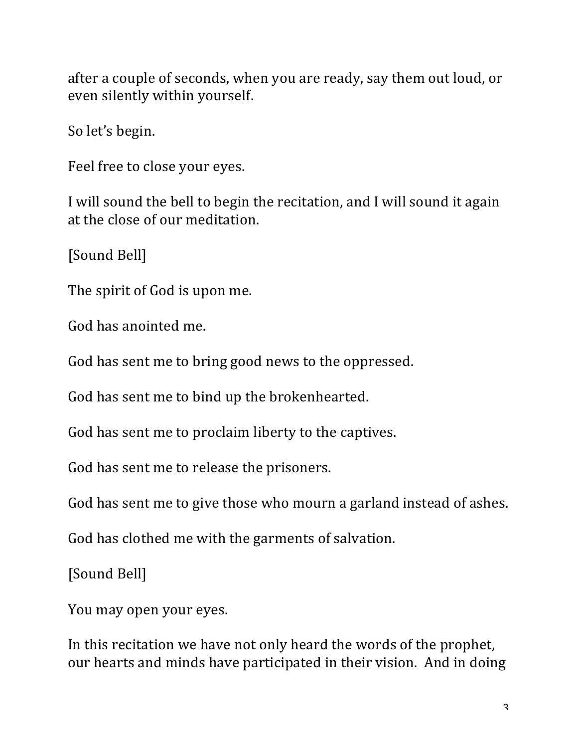after a couple of seconds, when you are ready, say them out loud, or even silently within yourself.

So let's begin.

Feel free to close your eyes.

I will sound the bell to begin the recitation, and I will sound it again at the close of our meditation.

[Sound Bell]

The spirit of God is upon me.

God has anointed me.

God has sent me to bring good news to the oppressed.

God has sent me to bind up the brokenhearted.

God has sent me to proclaim liberty to the captives.

God has sent me to release the prisoners.

God has sent me to give those who mourn a garland instead of ashes.

God has clothed me with the garments of salvation.

[Sound Bell]

You may open your eyes.

In this recitation we have not only heard the words of the prophet, our hearts and minds have participated in their vision. And in doing